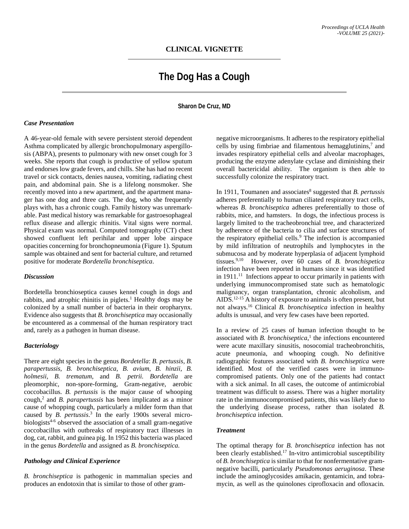# **The Dog Has a Cough**

# **Sharon De Cruz, MD**

#### *Case Presentation*

A 46-year-old female with severe persistent steroid dependent Asthma complicated by allergic bronchopulmonary aspergillosis (ABPA), presents to pulmonary with new onset cough for 3 weeks. She reports that cough is productive of yellow sputum and endorses low grade fevers, and chills. She has had no recent travel or sick contacts, denies nausea, vomiting, radiating chest pain, and abdominal pain. She is a lifelong nonsmoker. She recently moved into a new apartment, and the apartment manager has one dog and three cats. The dog, who she frequently plays with, has a chronic cough. Family history was unremarkable. Past medical history was remarkable for gastroesophageal reflux disease and allergic rhinitis. Vital signs were normal. Physical exam was normal. Computed tomography (CT) chest showed confluent left perihilar and upper lobe airspace opacities concerning for bronchopneumonia (Figure 1). Sputum sample was obtained and sent for bacterial culture, and returned positive for moderate *Bordetella bronchiseptica*.

#### *Discussion*

Bordetella bronchioseptica causes kennel cough in dogs and rabbits, and atrophic rhinitis in piglets.<sup>1</sup> Healthy dogs may be colonized by a small number of bacteria in their oropharynx. Evidence also suggests that *B. bronchiseptica* may occasionally be encountered as a commensal of the human respiratory tract and, rarely as a pathogen in human disease.

## *Bacteriology*

There are eight species in the genus *Bordetella*: *B. pertussis, B. parapertussis, B. bronchiseptica, B. avium, B. hinzii, B. holmesii, B. trematum,* and *B. petrii. Bordetella* are pleomorphic, non-spore-forming, Gram-negative, aerobic coccobacillus. *B. pertussis* is the major cause of whooping cough,2 and *B. parapertussis* has been implicated as a minor cause of whopping cough, particularly a milder form than that caused by *B. pertussis*. <sup>3</sup> In the early 1900s several microbiologists $4-6$  observed the association of a small gram-negative coccobacillus with outbreaks of respiratory tract illnesses in dog, cat, rabbit, and guinea pig. In 1952 this bacteria was placed in the genus *Bordetella* and assigned as *B. bronchiseptica.*

#### *Pathology and Clinical Experience*

*B. bronchiseptica* is pathogenic in mammalian species and produces an endotoxin that is similar to those of other gram-

negative microorganisms. It adheres to the respiratory epithelial cells by using fimbriae and filamentous hemagglutinins, $\alpha$  and invades respiratory epithelial cells and alveolar macrophages, producing the enzyme adenylate cyclase and diminishing their overall bactericidal ability. The organism is then able to successfully colonize the respiratory tract.

In 1911, Toumanen and associates<sup>8</sup> suggested that *B. pertussis* adheres preferentially to human ciliated respiratory tract cells, whereas *B. bronchiseptica* adheres preferentially to those of rabbits, mice, and hamsters. In dogs, the infectious process is largely limited to the tracheobronchial tree, and characterized by adherence of the bacteria to cilia and surface structures of the respiratory epithelial cells.<sup>9</sup> The infection is accompanied by mild infiltration of neutrophils and lymphocytes in the submucosa and by moderate hyperplasia of adjacent lymphoid tissues.9,10 However, over 60 cases of *B. bronchispetica*  infection have been reported in humans since it was identified in  $1911$ <sup>11</sup> Infections appear to occur primarily in patients with underlying immunocompromised state such as hematologic malignancy, organ transplantation, chronic alcoholism, and AIDS.12-15 A history of exposure to animals is often present, but not always.16 Clinical *B. bronchiseptica* infection in healthy adults is unusual, and very few cases have been reported.

In a review of 25 cases of human infection thought to be associated with *B. bronchiseptica*, <sup>1</sup> the infections encountered were acute maxillary sinusitis, nosocomial tracheobronchitis, acute pneumonia, and whooping cough. No definitive radiographic features associated with *B. bronchiseptica* were identified. Most of the verified cases were in immunocompromised patients. Only one of the patients had contact with a sick animal. In all cases, the outcome of antimicrobial treatment was difficult to assess. There was a higher mortality rate in the immunocompromised patients, this was likely due to the underlying disease process, rather than isolated *B. bronchiseptica* infection.

#### *Treatment*

The optimal therapy for *B. bronchiseptica* infection has not been clearly established.17 In-vitro antimicrobial susceptibility of *B. bronchiseptica* is similar to that for nonfermentative gramnegative bacilli, particularly *Pseudomonas aeruginosa*. These include the aminoglycosides amikacin, gentamicin, and tobramycin, as well as the quinolones ciprofloxacin and ofloxacin.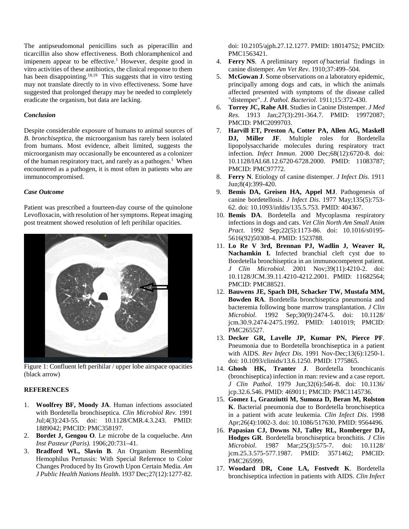The antipseudomonal penicillins such as piperacillin and ticarcillin also show effectiveness. Both chloramphenicol and imipenem appear to be effective.<sup>1</sup> However, despite good in vitro activities of these antibiotics, the clinical response to them has been disappointing.<sup>18,19</sup> This suggests that in vitro testing may not translate directly to in vivo effectiveness. Some have suggested that prolonged therapy may be needed to completely eradicate the organism, but data are lacking.

### *Conclusion*

Despite considerable exposure of humans to animal sources of *B. bronchiseptica*, the microorganism has rarely been isolated from humans. Most evidence, albeit limited, suggests the microorganism may occasionally be encountered as a colonizer of the human respiratory tract, and rarely as a pathogen.<sup>1</sup> When encountered as a pathogen, it is most often in patients who are immunocompromised.

## *Case Outcome*

Patient was prescribed a fourteen-day course of the quinolone Levofloxacin, with resolution of her symptoms. Repeat imaging post treatment showed resolution of left perihilar opacities.



Figure 1: Confluent left perihilar / upper lobe airspace opacities (black arrow)

# **REFERENCES**

- 1. **Woolfrey BF, Moody JA**. Human infections associated with Bordetella bronchiseptica. *Clin Microbiol Rev.* 1991 Jul;4(3):243-55. doi: 10.1128/CMR.4.3.243. PMID: 1889042; PMCID: PMC358197.
- 2. **Bordet J, Gengou O**. Le microbe de la coqueluche. *Ann Inst Pasteur (Paris).* 1906;20:731–41.
- 3. **Bradford WL, Slavin B**. An Organism Resembling Hemophilus Pertussis: With Special Reference to Color Changes Produced by Its Growth Upon Certain Media. *Am J Public Health Nations Health*. 1937 Dec;27(12):1277-82.

doi: 10.2105/ajph.27.12.1277. PMID: 18014752; PMCID: PMC1563421.

- 4. **Ferry NS**. A preliminary report *of* bacterial findings in canine distemper*. Am Vet Rev*. 1910;37:499–504.
- 5. **McGowan J**. Some observations on a laboratory epidemic, principally among dogs and cats, in which the animals affected presented with symptoms of the disease called "distemper". *J. Pathol. Bacteriol*. 1911;15:372-430.
- 6. **Torrey JC, Rahe AH**. Studies in Canine Distemper. *J Med Res*. 1913 Jan;27(3):291-364.7. PMID: 19972087; PMCID: PMC2099703.
- 7. **Harvill ET, Preston A, Cotter PA, Allen AG, Maskell DJ, Miller JF**. Multiple roles for Bordetella lipopolysaccharide molecules during respiratory tract infection. *Infect Immun*. 2000 Dec;68(12):6720-8. doi: 10.1128/IAI.68.12.6720-6728.2000. PMID: 11083787; PMCID: PMC97772.
- 8. **Ferry N**. Etiology of canine distemper. *J Infect Dis*. 1911 Jun;8(4):399-420.
- 9. **Bemis DA, Greisen HA, Appel MJ**. Pathogenesis of canine bordetellosis. *J Infect Dis*. 1977 May;135(5):753- 62. doi: 10.1093/infdis/135.5.753. PMID: 404367.
- 10. **Bemis DA**. Bordetella and Mycoplasma respiratory infections in dogs and cats. *Vet Clin North Am Small Anim Pract*. 1992 Sep;22(5):1173-86. doi: 10.1016/s0195- 5616(92)50308-4. PMID: 1523788.
- 11. **Lo Re V 3rd, Brennan PJ, Wadlin J, Weaver R, Nachamkin I.** Infected branchial cleft cyst due to Bordetella bronchiseptica in an immunocompetent patient. *J Clin Microbiol*. 2001 Nov;39(11):4210-2. doi: 10.1128/JCM.39.11.4210-4212.2001. PMID: 11682564; PMCID: PMC88521.
- 12. **Bauwens JE, Spach DH, Schacker TW, Mustafa MM, Bowden RA**. Bordetella bronchiseptica pneumonia and bacteremia following bone marrow transplantation. *J Clin Microbiol*. 1992 Sep;30(9):2474-5. doi: 10.1128/ jcm.30.9.2474-2475.1992. PMID: 1401019; PMCID: PMC265527.
- 13. **Decker GR, Lavelle JP, Kumar PN, Pierce PF**. Pneumonia due to Bordetella bronchiseptica in a patient with AIDS. *Rev Infect Dis*. 1991 Nov-Dec;13(6):1250-1. doi: 10.1093/clinids/13.6.1250. PMID: 1775865.
- 14. **Ghosh HK, Tranter J**. Bordetella bronchicanis (bronchiseptica) infection in man: review and a case report. *J Clin Pathol*. 1979 Jun;32(6):546-8. doi: 10.1136/ jcp.32.6.546. PMID: 469011; PMCID: PMC1145736.
- 15. **Gomez L, Grazziutti M, Sumoza D, Beran M, Rolston K**. Bacterial pneumonia due to Bordetella bronchiseptica in a patient with acute leukemia. *Clin Infect Dis*. 1998 Apr;26(4):1002-3. doi: 10.1086/517630. PMID: 9564496.
- 16. **Papasian CJ, Downs NJ, Talley RL, Romberger DJ, Hodges GR**. Bordetella bronchiseptica bronchitis. *J Clin Microbiol*. 1987 Mar;25(3):575-7. doi: 10.1128/ jcm.25.3.575-577.1987. PMID: 3571462; PMCID: PMC265999.
- 17. **Woodard DR, Cone LA, Fostvedt K**. Bordetella bronchiseptica infection in patients with AIDS. *Clin Infect*